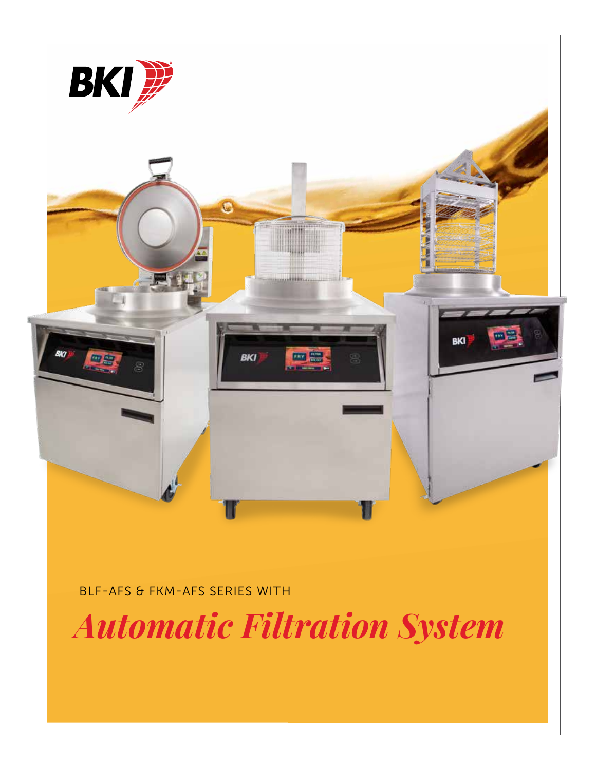

BLF-AFS & FKM-AFS SERIES WITH

*Automatic Filtration System*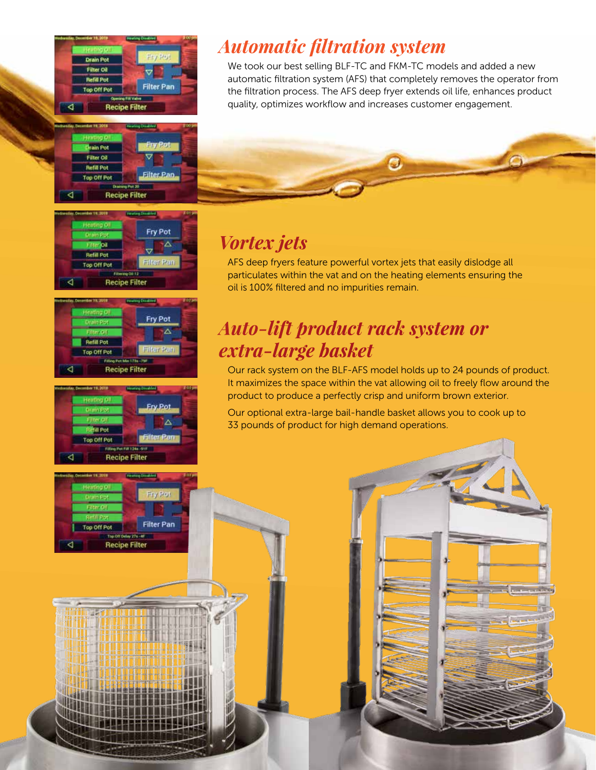

#### ain Pot Filter Oil **Retill Pot** Filter Pa op Off Po **Recipe Filter**

#### **Lenting Of** Fry Pot irkoa **Refilt Pot** Filter Par Top Off Pot **Recipe Filter**





**Recipe Filter** 

Top Off Pot

Fry Pot

**Filter Pan** 

### *Automatic filtration system*

We took our best selling BLF-TC and FKM-TC models and added a new automatic filtration system (AFS) that completely removes the operator from the filtration process. The AFS deep fryer extends oil life, enhances product quality, optimizes workflow and increases customer engagement.



### *Vortex jets*

AFS deep fryers feature powerful vortex jets that easily dislodge all particulates within the vat and on the heating elements ensuring the oil is 100% filtered and no impurities remain.

#### *Auto-lift product rack system or extra-large basket*

Our rack system on the BLF-AFS model holds up to 24 pounds of product. It maximizes the space within the vat allowing oil to freely flow around the product to produce a perfectly crisp and uniform brown exterior.

Our optional extra-large bail-handle basket allows you to cook up to 33 pounds of product for high demand operations.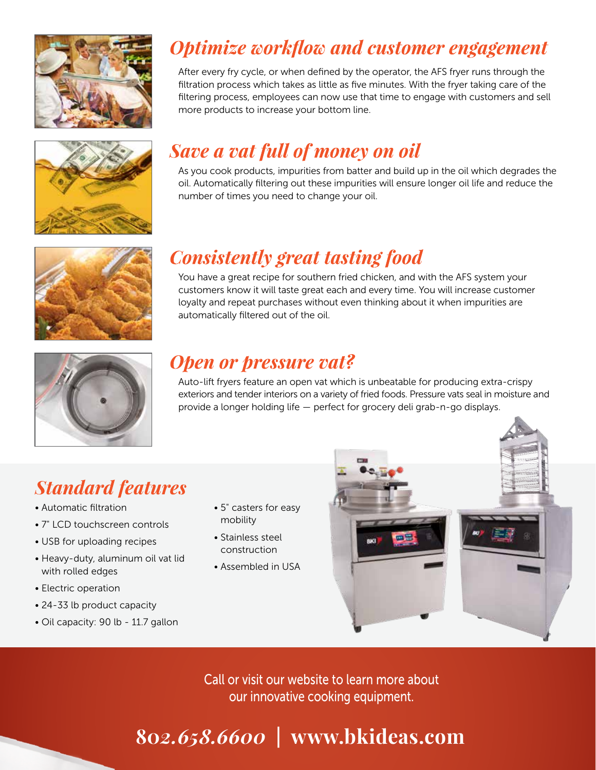





# *Consistently great tasting food*

*Save a vat full of money on oil*

more products to increase your bottom line.

number of times you need to change your oil.

You have a great recipe for southern fried chicken, and with the AFS system your customers know it will taste great each and every time. You will increase customer loyalty and repeat purchases without even thinking about it when impurities are automatically filtered out of the oil.

*Optimize workflow and customer engagement*

After every fry cycle, or when defined by the operator, the AFS fryer runs through the filtration process which takes as little as five minutes. With the fryer taking care of the filtering process, employees can now use that time to engage with customers and sell

As you cook products, impurities from batter and build up in the oil which degrades the oil. Automatically filtering out these impurities will ensure longer oil life and reduce the



#### *Open or pressure vat?*

Auto-lift fryers feature an open vat which is unbeatable for producing extra-crispy exteriors and tender interiors on a variety of fried foods. Pressure vats seal in moisture and provide a longer holding life — perfect for grocery deli grab-n-go displays.

## *Standard features*

- Automatic filtration
- 7" LCD touchscreen controls
- USB for uploading recipes
- Heavy-duty, aluminum oil vat lid with rolled edges
- Electric operation
- 24-33 lb product capacity
- Oil capacity: 90 lb 11.7 gallon
- 5" casters for easy mobility
- Stainless steel construction
- Assembled in USA



Call or visit our website to learn more about our innovative cooking equipment.

# **80***2.658.6600* **| www.bkideas.com**